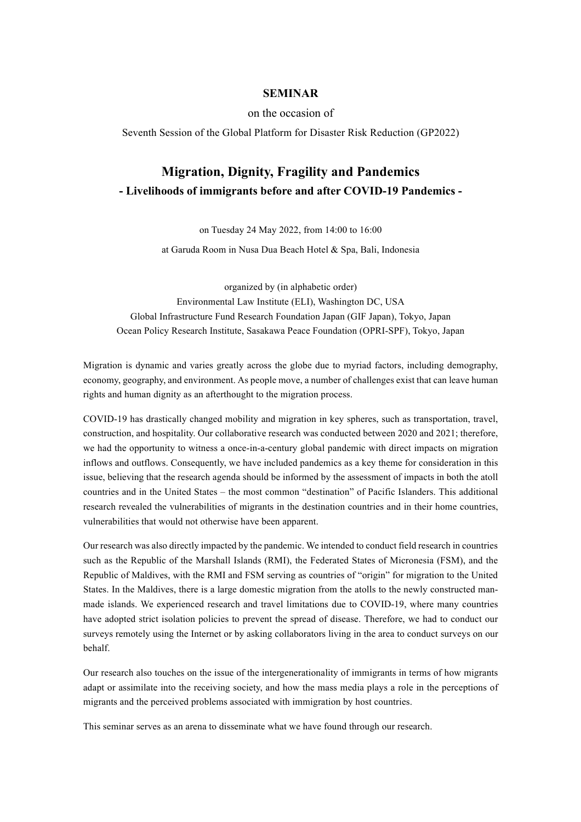## **SEMINAR**

on the occasion of

Seventh Session of the Global Platform for Disaster Risk Reduction (GP2022)

## **Migration, Dignity, Fragility and Pandemics - Livelihoods of immigrants before and after COVID-19 Pandemics -**

on Tuesday 24 May 2022, from 14:00 to 16:00

at Garuda Room in Nusa Dua Beach Hotel & Spa, Bali, Indonesia

organized by (in alphabetic order) Environmental Law Institute (ELI), Washington DC, USA Global Infrastructure Fund Research Foundation Japan (GIF Japan), Tokyo, Japan Ocean Policy Research Institute, Sasakawa Peace Foundation (OPRI-SPF), Tokyo, Japan

Migration is dynamic and varies greatly across the globe due to myriad factors, including demography, economy, geography, and environment. As people move, a number of challenges exist that can leave human rights and human dignity as an afterthought to the migration process.

COVID-19 has drastically changed mobility and migration in key spheres, such as transportation, travel, construction, and hospitality. Our collaborative research was conducted between 2020 and 2021; therefore, we had the opportunity to witness a once-in-a-century global pandemic with direct impacts on migration inflows and outflows. Consequently, we have included pandemics as a key theme for consideration in this issue, believing that the research agenda should be informed by the assessment of impacts in both the atoll countries and in the United States – the most common "destination" of Pacific Islanders. This additional research revealed the vulnerabilities of migrants in the destination countries and in their home countries, vulnerabilities that would not otherwise have been apparent.

Our research was also directly impacted by the pandemic. We intended to conduct field research in countries such as the Republic of the Marshall Islands (RMI), the Federated States of Micronesia (FSM), and the Republic of Maldives, with the RMI and FSM serving as countries of "origin" for migration to the United States. In the Maldives, there is a large domestic migration from the atolls to the newly constructed manmade islands. We experienced research and travel limitations due to COVID-19, where many countries have adopted strict isolation policies to prevent the spread of disease. Therefore, we had to conduct our surveys remotely using the Internet or by asking collaborators living in the area to conduct surveys on our behalf.

Our research also touches on the issue of the intergenerationality of immigrants in terms of how migrants adapt or assimilate into the receiving society, and how the mass media plays a role in the perceptions of migrants and the perceived problems associated with immigration by host countries.

This seminar serves as an arena to disseminate what we have found through our research.